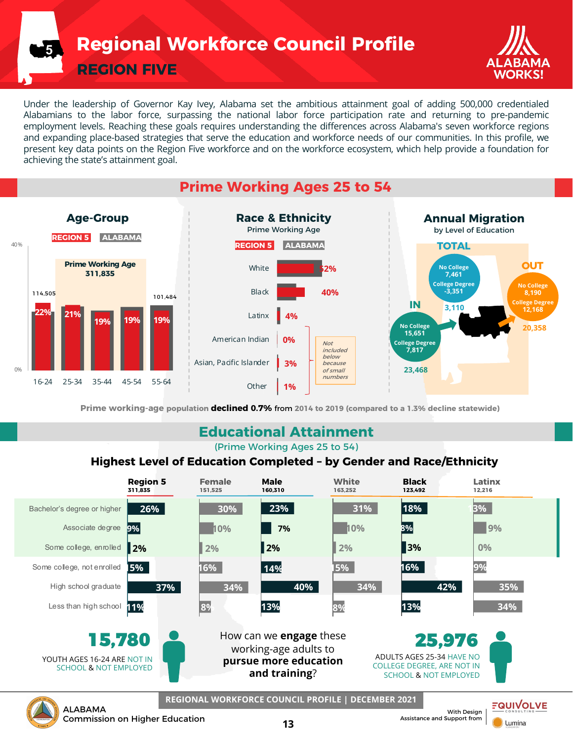**Regional Workforce Council Profile**

**REGION FIVE**

**5**



Under the leadership of Governor Kay Ivey, Alabama set the ambitious attainment goal of adding 500,000 credentialed Alabamians to the labor force, surpassing the national labor force participation rate and returning to pre-pandemic employment levels. Reaching these goals requires understanding the differences across Alabama's seven workforce regions and expanding place-based strategies that serve the education and workforce needs of our communities. In this profile, we present key data points on the Region Five workforce and on the workforce ecosystem, which help provide a foundation for achieving the state's attainment goal.

# **Prime Working Ages 25 to 54**



**Prime working-age population declined 0.7%** from **2014 to 2019 (compared to a 1.3% decline statewide)**

### **Educational Attainment**

(Prime Working Ages 25 to 54)

### **Highest Level of Education Completed – by Gender and Race/Ethnicity**